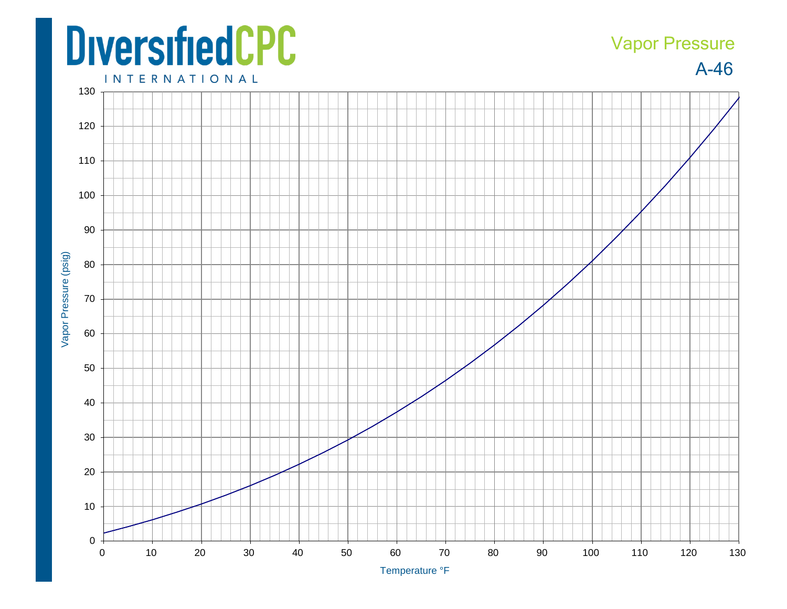## **DiversifiedCPC**

## Vapor Pressure

A-46